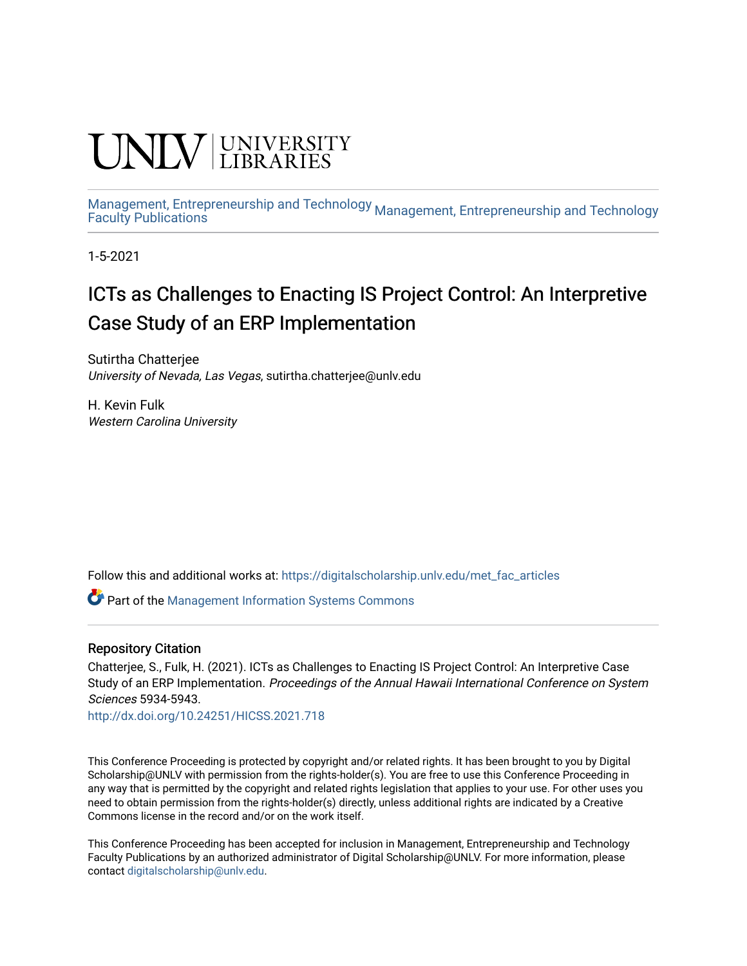# **CINITY** UNIVERSITY

[Management, Entrepreneurship and Technology](https://digitalscholarship.unlv.edu/met) <sub>Management,</sub> Entrepreneurship and Technology<br>[Faculty Publications](https://digitalscholarship.unlv.edu/met_fac_articles)

1-5-2021

## ICTs as Challenges to Enacting IS Project Control: An Interpretive Case Study of an ERP Implementation

Sutirtha Chatterjee University of Nevada, Las Vegas, sutirtha.chatterjee@unlv.edu

H. Kevin Fulk Western Carolina University

Follow this and additional works at: [https://digitalscholarship.unlv.edu/met\\_fac\\_articles](https://digitalscholarship.unlv.edu/met_fac_articles?utm_source=digitalscholarship.unlv.edu%2Fmet_fac_articles%2F149&utm_medium=PDF&utm_campaign=PDFCoverPages)

**C** Part of the Management Information Systems Commons

#### Repository Citation

Chatterjee, S., Fulk, H. (2021). ICTs as Challenges to Enacting IS Project Control: An Interpretive Case Study of an ERP Implementation. Proceedings of the Annual Hawaii International Conference on System Sciences 5934-5943.

<http://dx.doi.org/10.24251/HICSS.2021.718>

This Conference Proceeding is protected by copyright and/or related rights. It has been brought to you by Digital Scholarship@UNLV with permission from the rights-holder(s). You are free to use this Conference Proceeding in any way that is permitted by the copyright and related rights legislation that applies to your use. For other uses you need to obtain permission from the rights-holder(s) directly, unless additional rights are indicated by a Creative Commons license in the record and/or on the work itself.

This Conference Proceeding has been accepted for inclusion in Management, Entrepreneurship and Technology Faculty Publications by an authorized administrator of Digital Scholarship@UNLV. For more information, please contact [digitalscholarship@unlv.edu.](mailto:digitalscholarship@unlv.edu)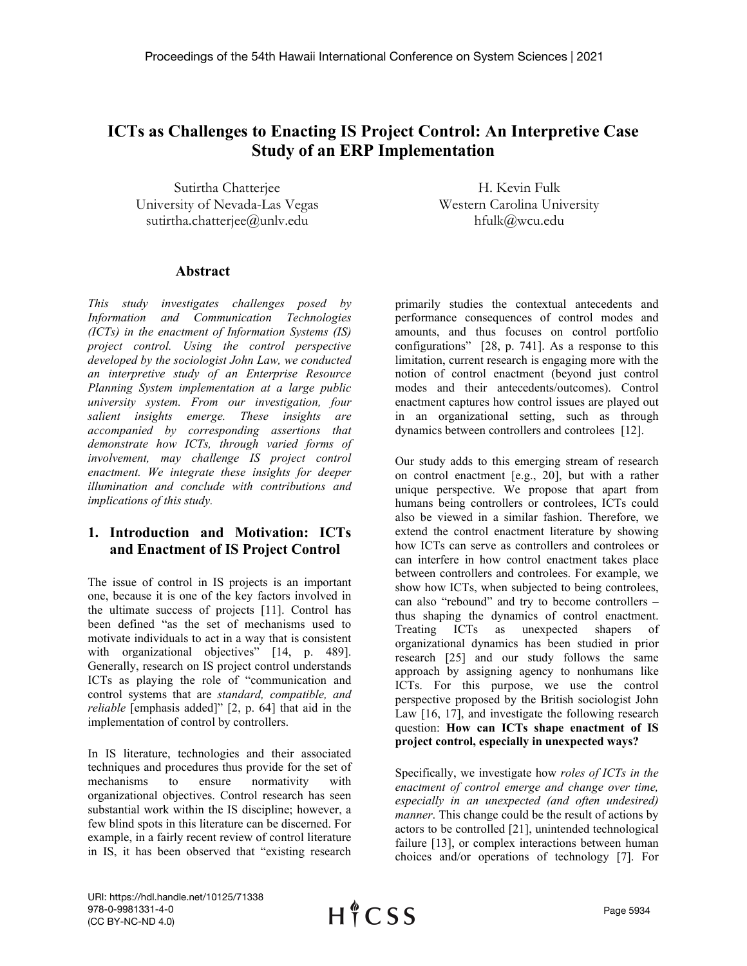### **ICTs as Challenges to Enacting IS Project Control: An Interpretive Case Study of an ERP Implementation**

Sutirtha Chatterjee University of Nevada-Las Vegas sutirtha.chatterjee@unlv.edu

H. Kevin Fulk Western Carolina University hfulk@wcu.edu

#### **Abstract**

*This study investigates challenges posed by Information and Communication Technologies (ICTs) in the enactment of Information Systems (IS) project control. Using the control perspective developed by the sociologist John Law, we conducted an interpretive study of an Enterprise Resource Planning System implementation at a large public university system. From our investigation, four salient insights emerge. These insights are accompanied by corresponding assertions that demonstrate how ICTs, through varied forms of involvement, may challenge IS project control enactment. We integrate these insights for deeper illumination and conclude with contributions and implications of this study.*

#### **1. Introduction and Motivation: ICTs and Enactment of IS Project Control**

The issue of control in IS projects is an important one, because it is one of the key factors involved in the ultimate success of projects [\[11\]](#page-8-0). Control has been defined "as the set of mechanisms used to motivate individuals to act in a way that is consistent with organizational objectives" [\[14, p. 489\]](#page-8-1). Generally, research on IS project control understands ICTs as playing the role of "communication and control systems that are *standard, compatible, and reliable* [emphasis added]" [\[2, p. 64\]](#page-8-2) that aid in the implementation of control by controllers.

In IS literature, technologies and their associated techniques and procedures thus provide for the set of mechanisms to ensure normativity with organizational objectives. Control research has seen substantial work within the IS discipline; however, a few blind spots in this literature can be discerned. For example, in a fairly recent review of control literature in IS, it has been observed that "existing research

primarily studies the contextual antecedents and performance consequences of control modes and amounts, and thus focuses on control portfolio configurations" [\[28, p. 741\]](#page-9-0). As a response to this limitation, current research is engaging more with the notion of control enactment (beyond just control modes and their antecedents/outcomes). Control enactment captures how control issues are played out in an organizational setting, such as through dynamics between controllers and controlees [\[12\]](#page-8-3).

Our study adds to this emerging stream of research on control enactment [\[e.g., 20\]](#page-8-4), but with a rather unique perspective. We propose that apart from humans being controllers or controlees, ICTs could also be viewed in a similar fashion. Therefore, we extend the control enactment literature by showing how ICTs can serve as controllers and controlees or can interfere in how control enactment takes place between controllers and controlees. For example, we show how ICTs, when subjected to being controlees, can also "rebound" and try to become controllers – thus shaping the dynamics of control enactment. Treating ICTs as unexpected shapers of organizational dynamics has been studied in prior research [\[25\]](#page-9-1) and our study follows the same approach by assigning agency to nonhumans like ICTs. For this purpose, we use the control perspective proposed by the British sociologist John Law [\[16,](#page-8-5) [17\]](#page-8-6), and investigate the following research question: **How can ICTs shape enactment of IS project control, especially in unexpected ways?**

Specifically, we investigate how *roles of ICTs in the enactment of control emerge and change over time, especially in an unexpected (and often undesired) manner*. This change could be the result of actions by actors to be controlled [\[21\]](#page-8-7), unintended technological failure [\[13\]](#page-8-8), or complex interactions between human choices and/or operations of technology [\[7\]](#page-8-9). For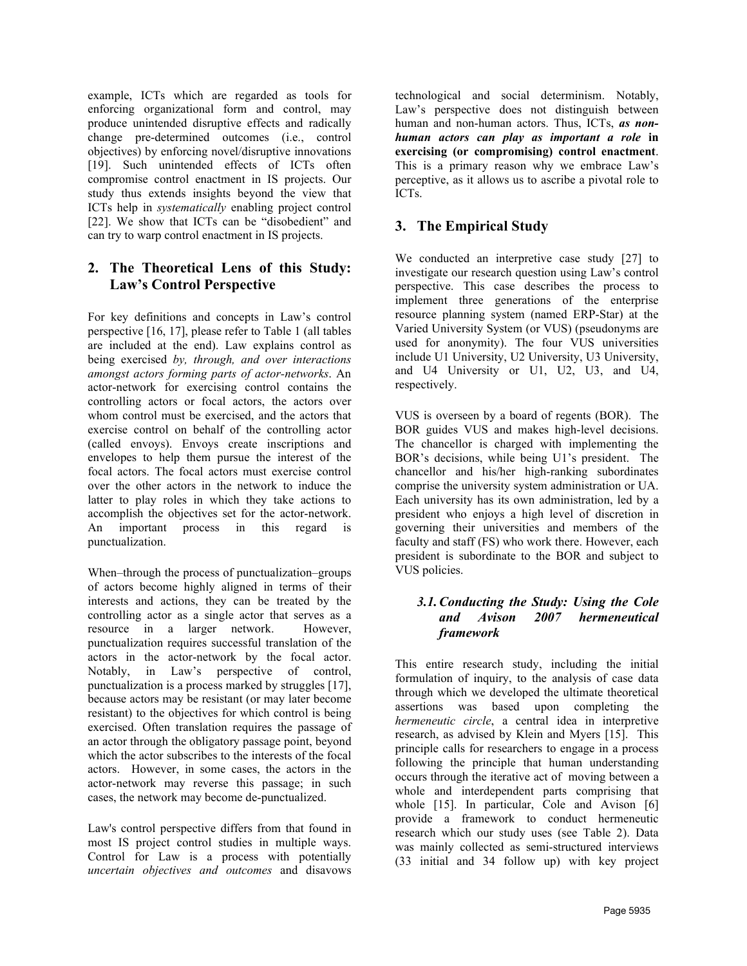example, ICTs which are regarded as tools for enforcing organizational form and control, may produce unintended disruptive effects and radically change pre-determined outcomes (i.e., control objectives) by enforcing novel/disruptive innovations [\[19\]](#page-8-10). Such unintended effects of ICTs often compromise control enactment in IS projects. Our study thus extends insights beyond the view that ICTs help in *systematically* enabling project control [\[22\]](#page-8-11). We show that ICTs can be "disobedient" and can try to warp control enactment in IS projects.

#### **2. The Theoretical Lens of this Study: Law's Control Perspective**

For key definitions and concepts in Law's control perspective [\[16,](#page-8-5) [17\]](#page-8-6), please refer to Table 1 (all tables are included at the end). Law explains control as being exercised *by, through, and over interactions amongst actors forming parts of actor-networks*. An actor-network for exercising control contains the controlling actors or focal actors, the actors over whom control must be exercised, and the actors that exercise control on behalf of the controlling actor (called envoys). Envoys create inscriptions and envelopes to help them pursue the interest of the focal actors. The focal actors must exercise control over the other actors in the network to induce the latter to play roles in which they take actions to accomplish the objectives set for the actor-network. An important process in this regard is punctualization.

When–through the process of punctualization–groups of actors become highly aligned in terms of their interests and actions, they can be treated by the controlling actor as a single actor that serves as a resource in a larger network. However, punctualization requires successful translation of the actors in the actor-network by the focal actor. Notably, in Law's perspective of control, punctualization is a process marked by struggles [\[17\]](#page-8-6), because actors may be resistant (or may later become resistant) to the objectives for which control is being exercised. Often translation requires the passage of an actor through the obligatory passage point, beyond which the actor subscribes to the interests of the focal actors. However, in some cases, the actors in the actor-network may reverse this passage; in such cases, the network may become de-punctualized.

Law's control perspective differs from that found in most IS project control studies in multiple ways. Control for Law is a process with potentially *uncertain objectives and outcomes* and disavows

technological and social determinism. Notably, Law's perspective does not distinguish between human and non-human actors. Thus, ICTs, *as nonhuman actors can play as important a role* **in exercising (or compromising) control enactment**. This is a primary reason why we embrace Law's perceptive, as it allows us to ascribe a pivotal role to ICTs.

#### **3. The Empirical Study**

We conducted an interpretive case study [\[27\]](#page-9-2) to investigate our research question using Law's control perspective. This case describes the process to implement three generations of the enterprise resource planning system (named ERP-Star) at the Varied University System (or VUS) (pseudonyms are used for anonymity). The four VUS universities include U1 University, U2 University, U3 University, and U4 University or U1, U2, U3, and U4, respectively.

VUS is overseen by a board of regents (BOR). The BOR guides VUS and makes high-level decisions. The chancellor is charged with implementing the BOR's decisions, while being U1's president. The chancellor and his/her high-ranking subordinates comprise the university system administration or UA. Each university has its own administration, led by a president who enjoys a high level of discretion in governing their universities and members of the faculty and staff (FS) who work there. However, each president is subordinate to the BOR and subject to VUS policies.

#### *3.1.Conducting the Study: Using the Cole and Avison 2007 hermeneutical framework*

This entire research study, including the initial formulation of inquiry, to the analysis of case data through which we developed the ultimate theoretical assertions was based upon completing the *hermeneutic circle*, a central idea in interpretive research, as advised by [Klein and Myers \[15\]](#page-8-12). This principle calls for researchers to engage in a process following the principle that human understanding occurs through the iterative act of moving between a whole and interdependent parts comprising that whole [\[15\]](#page-8-12). In particular, [Cole and Avison \[6\]](#page-8-13) provide a framework to conduct hermeneutic research which our study uses (see Table 2). Data was mainly collected as semi-structured interviews (33 initial and 34 follow up) with key project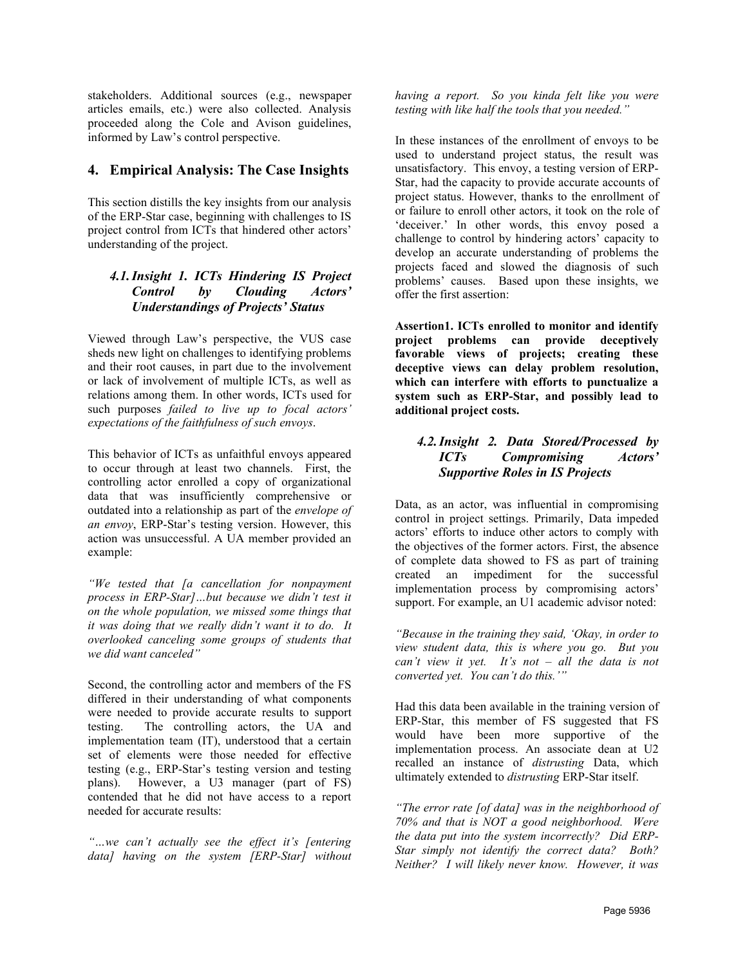stakeholders. Additional sources (e.g., newspaper articles emails, etc.) were also collected. Analysis proceeded along the Cole and Avison guidelines, informed by Law's control perspective.

#### **4. Empirical Analysis: The Case Insights**

This section distills the key insights from our analysis of the ERP-Star case, beginning with challenges to IS project control from ICTs that hindered other actors' understanding of the project.

#### *4.1.Insight 1. ICTs Hindering IS Project Control by Clouding Actors' Understandings of Projects' Status*

Viewed through Law's perspective, the VUS case sheds new light on challenges to identifying problems and their root causes, in part due to the involvement or lack of involvement of multiple ICTs, as well as relations among them. In other words, ICTs used for such purposes *failed to live up to focal actors' expectations of the faithfulness of such envoys*.

This behavior of ICTs as unfaithful envoys appeared to occur through at least two channels. First, the controlling actor enrolled a copy of organizational data that was insufficiently comprehensive or outdated into a relationship as part of the *envelope of an envoy*, ERP-Star's testing version. However, this action was unsuccessful. A UA member provided an example:

*"We tested that [a cancellation for nonpayment process in ERP-Star]…but because we didn't test it on the whole population, we missed some things that it was doing that we really didn't want it to do. It overlooked canceling some groups of students that we did want canceled"*

Second, the controlling actor and members of the FS differed in their understanding of what components were needed to provide accurate results to support testing. The controlling actors, the UA and implementation team (IT), understood that a certain set of elements were those needed for effective testing (e.g., ERP-Star's testing version and testing plans). However, a U3 manager (part of FS) contended that he did not have access to a report needed for accurate results:

*"…we can't actually see the effect it's [entering data] having on the system [ERP-Star] without* 

*having a report. So you kinda felt like you were testing with like half the tools that you needed."* 

In these instances of the enrollment of envoys to be used to understand project status, the result was unsatisfactory. This envoy, a testing version of ERP-Star, had the capacity to provide accurate accounts of project status. However, thanks to the enrollment of or failure to enroll other actors, it took on the role of 'deceiver.' In other words, this envoy posed a challenge to control by hindering actors' capacity to develop an accurate understanding of problems the projects faced and slowed the diagnosis of such problems' causes. Based upon these insights, we offer the first assertion:

**Assertion1. ICTs enrolled to monitor and identify project problems can provide deceptively favorable views of projects; creating these deceptive views can delay problem resolution, which can interfere with efforts to punctualize a system such as ERP-Star, and possibly lead to additional project costs.**

#### *4.2.Insight 2. Data Stored/Processed by ICTs Compromising Actors' Supportive Roles in IS Projects*

Data, as an actor, was influential in compromising control in project settings. Primarily, Data impeded actors' efforts to induce other actors to comply with the objectives of the former actors. First, the absence of complete data showed to FS as part of training created an impediment for the successful implementation process by compromising actors' support. For example, an U1 academic advisor noted:

*"Because in the training they said, 'Okay, in order to view student data, this is where you go. But you can't view it yet. It's not – all the data is not converted yet. You can't do this.'"*

Had this data been available in the training version of ERP-Star, this member of FS suggested that FS would have been more supportive of the implementation process. An associate dean at U2 recalled an instance of *distrusting* Data, which ultimately extended to *distrusting* ERP-Star itself.

*"The error rate [of data] was in the neighborhood of 70% and that is NOT a good neighborhood. Were the data put into the system incorrectly? Did ERP-Star simply not identify the correct data? Both? Neither? I will likely never know. However, it was*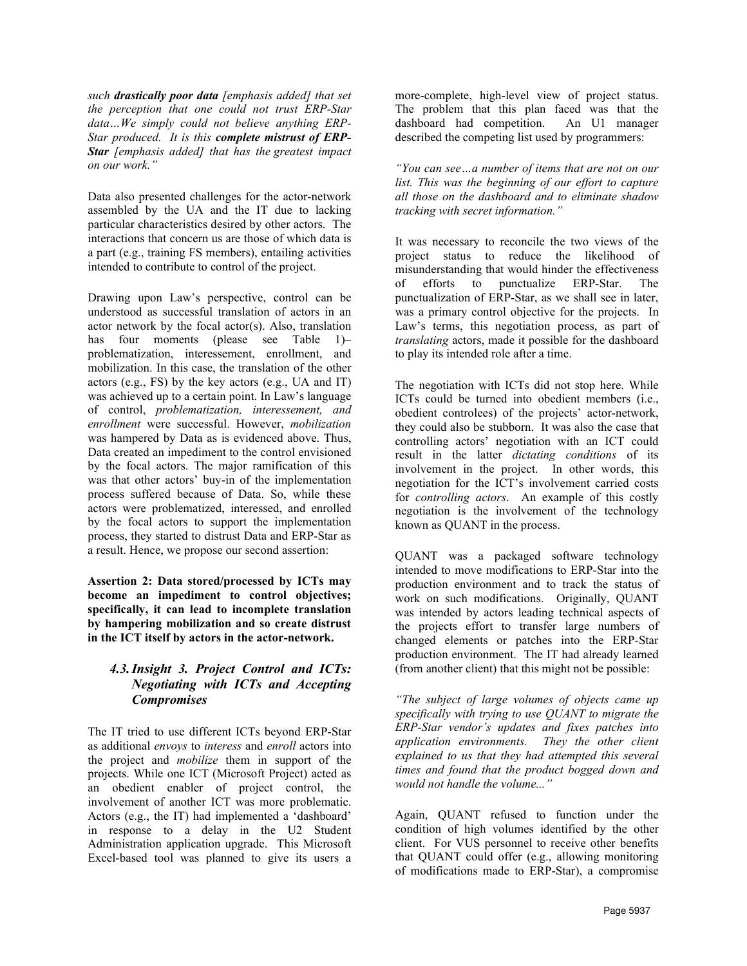*such drastically poor data [emphasis added] that set the perception that one could not trust ERP-Star data…We simply could not believe anything ERP-Star produced. It is this complete mistrust of ERP-Star [emphasis added] that has the greatest impact on our work."* 

Data also presented challenges for the actor-network assembled by the UA and the IT due to lacking particular characteristics desired by other actors. The interactions that concern us are those of which data is a part (e.g., training FS members), entailing activities intended to contribute to control of the project.

Drawing upon Law's perspective, control can be understood as successful translation of actors in an actor network by the focal actor(s). Also, translation has four moments (please see Table 1)– problematization, interessement, enrollment, and mobilization. In this case, the translation of the other actors (e.g., FS) by the key actors (e.g., UA and IT) was achieved up to a certain point. In Law's language of control, *problematization, interessement, and enrollment* were successful. However, *mobilization* was hampered by Data as is evidenced above. Thus, Data created an impediment to the control envisioned by the focal actors. The major ramification of this was that other actors' buy-in of the implementation process suffered because of Data. So, while these actors were problematized, interessed, and enrolled by the focal actors to support the implementation process, they started to distrust Data and ERP-Star as a result. Hence, we propose our second assertion:

**Assertion 2: Data stored/processed by ICTs may become an impediment to control objectives; specifically, it can lead to incomplete translation by hampering mobilization and so create distrust in the ICT itself by actors in the actor-network.**

#### *4.3.Insight 3. Project Control and ICTs: Negotiating with ICTs and Accepting Compromises*

The IT tried to use different ICTs beyond ERP-Star as additional *envoys* to *interess* and *enroll* actors into the project and *mobilize* them in support of the projects. While one ICT (Microsoft Project) acted as an obedient enabler of project control, the involvement of another ICT was more problematic. Actors (e.g., the IT) had implemented a 'dashboard' in response to a delay in the U2 Student Administration application upgrade. This Microsoft Excel-based tool was planned to give its users a

more-complete, high-level view of project status. The problem that this plan faced was that the dashboard had competition. An U1 manager described the competing list used by programmers:

*"You can see…a number of items that are not on our list. This was the beginning of our effort to capture all those on the dashboard and to eliminate shadow tracking with secret information."* 

It was necessary to reconcile the two views of the project status to reduce the likelihood of misunderstanding that would hinder the effectiveness of efforts to punctualize ERP-Star. The punctualization of ERP-Star, as we shall see in later, was a primary control objective for the projects. In Law's terms, this negotiation process, as part of *translating* actors, made it possible for the dashboard to play its intended role after a time.

The negotiation with ICTs did not stop here. While ICTs could be turned into obedient members (i.e., obedient controlees) of the projects' actor-network, they could also be stubborn. It was also the case that controlling actors' negotiation with an ICT could result in the latter *dictating conditions* of its involvement in the project. In other words, this negotiation for the ICT's involvement carried costs for *controlling actors*. An example of this costly negotiation is the involvement of the technology known as QUANT in the process.

QUANT was a packaged software technology intended to move modifications to ERP-Star into the production environment and to track the status of work on such modifications. Originally, QUANT was intended by actors leading technical aspects of the projects effort to transfer large numbers of changed elements or patches into the ERP-Star production environment. The IT had already learned (from another client) that this might not be possible:

*"The subject of large volumes of objects came up specifically with trying to use QUANT to migrate the ERP-Star vendor's updates and fixes patches into application environments. They the other client explained to us that they had attempted this several times and found that the product bogged down and would not handle the volume..."*

Again, QUANT refused to function under the condition of high volumes identified by the other client. For VUS personnel to receive other benefits that QUANT could offer (e.g., allowing monitoring of modifications made to ERP-Star), a compromise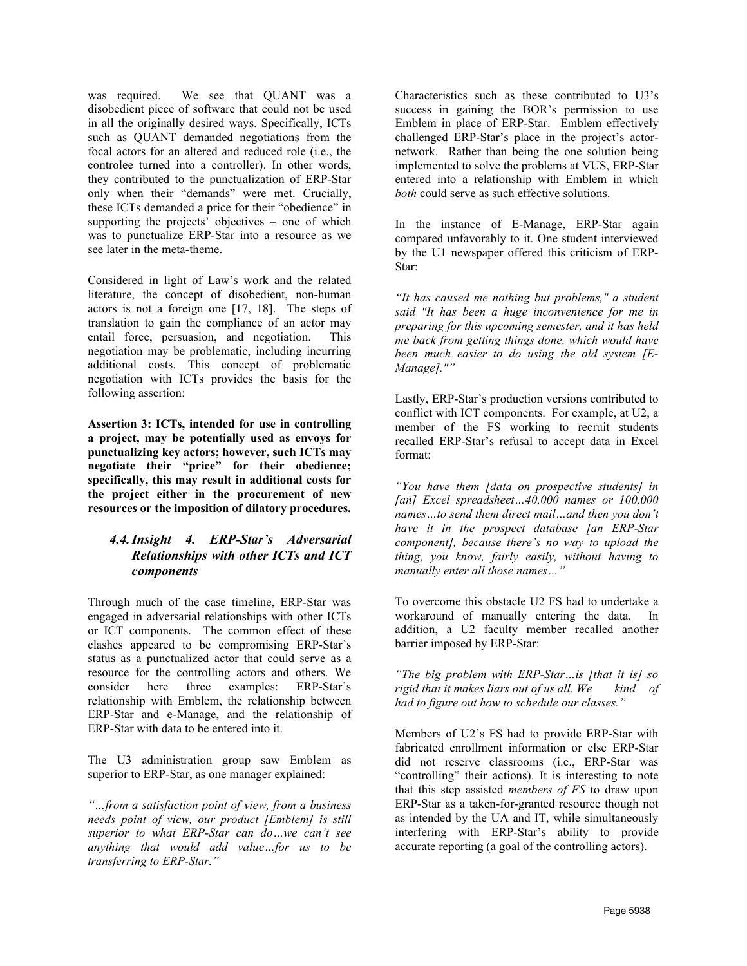was required. We see that QUANT was a disobedient piece of software that could not be used in all the originally desired ways. Specifically, ICTs such as QUANT demanded negotiations from the focal actors for an altered and reduced role (i.e., the controlee turned into a controller). In other words, they contributed to the punctualization of ERP-Star only when their "demands" were met. Crucially, these ICTs demanded a price for their "obedience" in supporting the projects' objectives – one of which was to punctualize ERP-Star into a resource as we see later in the meta-theme.

Considered in light of Law's work and the related literature, the concept of disobedient, non-human actors is not a foreign one [\[17,](#page-8-6) [18\]](#page-8-14). The steps of translation to gain the compliance of an actor may entail force, persuasion, and negotiation. This negotiation may be problematic, including incurring additional costs. This concept of problematic negotiation with ICTs provides the basis for the following assertion:

**Assertion 3: ICTs, intended for use in controlling a project, may be potentially used as envoys for punctualizing key actors; however, such ICTs may negotiate their "price" for their obedience; specifically, this may result in additional costs for the project either in the procurement of new resources or the imposition of dilatory procedures.**

#### *4.4.Insight 4. ERP-Star's Adversarial Relationships with other ICTs and ICT components*

Through much of the case timeline, ERP-Star was engaged in adversarial relationships with other ICTs or ICT components. The common effect of these clashes appeared to be compromising ERP-Star's status as a punctualized actor that could serve as a resource for the controlling actors and others. We consider here three examples: ERP-Star's relationship with Emblem, the relationship between ERP-Star and e-Manage, and the relationship of ERP-Star with data to be entered into it.

The U3 administration group saw Emblem as superior to ERP-Star, as one manager explained:

*"…from a satisfaction point of view, from a business needs point of view, our product [Emblem] is still superior to what ERP-Star can do…we can't see anything that would add value…for us to be transferring to ERP-Star."*

Characteristics such as these contributed to U3's success in gaining the BOR's permission to use Emblem in place of ERP-Star. Emblem effectively challenged ERP-Star's place in the project's actornetwork. Rather than being the one solution being implemented to solve the problems at VUS, ERP-Star entered into a relationship with Emblem in which *both* could serve as such effective solutions.

In the instance of E-Manage, ERP-Star again compared unfavorably to it. One student interviewed by the U1 newspaper offered this criticism of ERP-Star:

*"It has caused me nothing but problems," a student said "It has been a huge inconvenience for me in preparing for this upcoming semester, and it has held me back from getting things done, which would have been much easier to do using the old system [E-Manage].""* 

Lastly, ERP-Star's production versions contributed to conflict with ICT components. For example, at U2, a member of the FS working to recruit students recalled ERP-Star's refusal to accept data in Excel format:

*"You have them [data on prospective students] in [an] Excel spreadsheet…40,000 names or 100,000 names…to send them direct mail…and then you don't have it in the prospect database [an ERP-Star component], because there's no way to upload the thing, you know, fairly easily, without having to manually enter all those names…"*

To overcome this obstacle U2 FS had to undertake a workaround of manually entering the data. In addition, a U2 faculty member recalled another barrier imposed by ERP-Star:

*"The big problem with ERP-Star…is [that it is] so rigid that it makes liars out of us all. We kind of had to figure out how to schedule our classes."* 

Members of U2's FS had to provide ERP-Star with fabricated enrollment information or else ERP-Star did not reserve classrooms (i.e., ERP-Star was "controlling" their actions). It is interesting to note that this step assisted *members of FS* to draw upon ERP-Star as a taken-for-granted resource though not as intended by the UA and IT, while simultaneously interfering with ERP-Star's ability to provide accurate reporting (a goal of the controlling actors).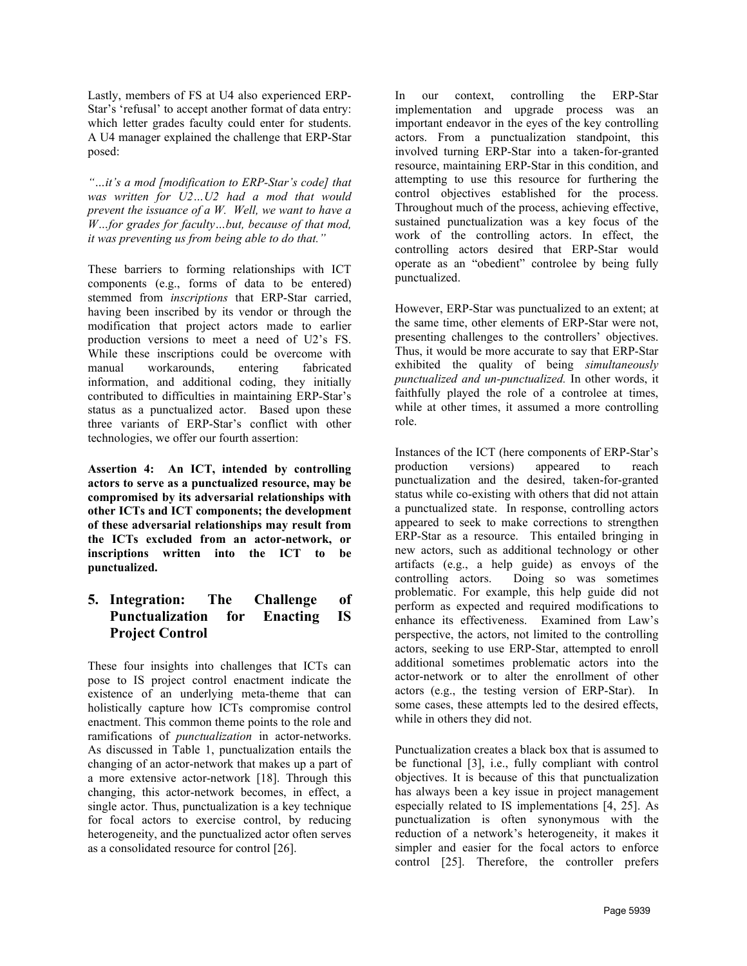Lastly, members of FS at U4 also experienced ERP-Star's 'refusal' to accept another format of data entry: which letter grades faculty could enter for students. A U4 manager explained the challenge that ERP-Star posed:

*"…it's a mod [modification to ERP-Star's code] that was written for U2…U2 had a mod that would prevent the issuance of a W. Well, we want to have a W…for grades for faculty…but, because of that mod, it was preventing us from being able to do that."*

These barriers to forming relationships with ICT components (e.g., forms of data to be entered) stemmed from *inscriptions* that ERP-Star carried, having been inscribed by its vendor or through the modification that project actors made to earlier production versions to meet a need of U2's FS. While these inscriptions could be overcome with manual workarounds, entering fabricated information, and additional coding, they initially contributed to difficulties in maintaining ERP-Star's status as a punctualized actor. Based upon these three variants of ERP-Star's conflict with other technologies, we offer our fourth assertion:

**Assertion 4: An ICT, intended by controlling actors to serve as a punctualized resource, may be compromised by its adversarial relationships with other ICTs and ICT components; the development of these adversarial relationships may result from the ICTs excluded from an actor-network, or inscriptions written into the ICT to be punctualized.**

#### **5. Integration: The Challenge of Punctualization for Enacting IS Project Control**

These four insights into challenges that ICTs can pose to IS project control enactment indicate the existence of an underlying meta-theme that can holistically capture how ICTs compromise control enactment. This common theme points to the role and ramifications of *punctualization* in actor-networks. As discussed in Table 1, punctualization entails the changing of an actor-network that makes up a part of a more extensive actor-network [\[18\]](#page-8-14). Through this changing, this actor-network becomes, in effect, a single actor. Thus, punctualization is a key technique for focal actors to exercise control, by reducing heterogeneity, and the punctualized actor often serves as a consolidated resource for control [\[26\]](#page-9-3).

In our context, controlling the ERP-Star implementation and upgrade process was an important endeavor in the eyes of the key controlling actors. From a punctualization standpoint, this involved turning ERP-Star into a taken-for-granted resource, maintaining ERP-Star in this condition, and attempting to use this resource for furthering the control objectives established for the process. Throughout much of the process, achieving effective, sustained punctualization was a key focus of the work of the controlling actors. In effect, the controlling actors desired that ERP-Star would operate as an "obedient" controlee by being fully punctualized.

However, ERP-Star was punctualized to an extent; at the same time, other elements of ERP-Star were not, presenting challenges to the controllers' objectives. Thus, it would be more accurate to say that ERP-Star exhibited the quality of being *simultaneously punctualized and un-punctualized.* In other words, it faithfully played the role of a controlee at times, while at other times, it assumed a more controlling role.

Instances of the ICT (here components of ERP-Star's production versions) appeared to reach punctualization and the desired, taken-for-granted status while co-existing with others that did not attain a punctualized state. In response, controlling actors appeared to seek to make corrections to strengthen ERP-Star as a resource. This entailed bringing in new actors, such as additional technology or other artifacts (e.g., a help guide) as envoys of the Doing so was sometimes problematic. For example, this help guide did not perform as expected and required modifications to enhance its effectiveness. Examined from Law's perspective, the actors, not limited to the controlling actors, seeking to use ERP-Star, attempted to enroll additional sometimes problematic actors into the actor-network or to alter the enrollment of other actors (e.g., the testing version of ERP-Star). In some cases, these attempts led to the desired effects, while in others they did not.

Punctualization creates a black box that is assumed to be functional [\[3\]](#page-8-15), i.e., fully compliant with control objectives. It is because of this that punctualization has always been a key issue in project management especially related to IS implementations [\[4,](#page-8-16) [25\]](#page-9-1). As punctualization is often synonymous with the reduction of a network's heterogeneity, it makes it simpler and easier for the focal actors to enforce control [\[25\]](#page-9-1). Therefore, the controller prefers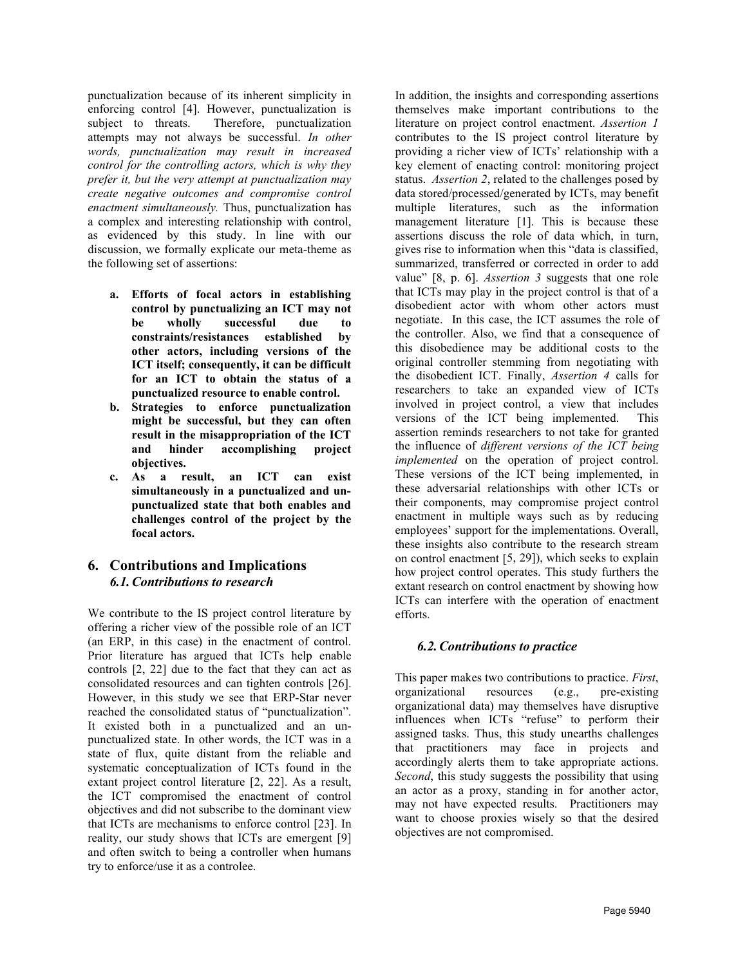punctualization because of its inherent simplicity in enforcing control [\[4\]](#page-8-16). However, punctualization is subject to threats. Therefore, punctualization Therefore, punctualization attempts may not always be successful. *In other words, punctualization may result in increased control for the controlling actors, which is why they prefer it, but the very attempt at punctualization may create negative outcomes and compromise control enactment simultaneously.* Thus, punctualization has a complex and interesting relationship with control, as evidenced by this study. In line with our discussion, we formally explicate our meta-theme as the following set of assertions:

- **a. Efforts of focal actors in establishing control by punctualizing an ICT may not be wholly successful due to constraints/resistances established by other actors, including versions of the ICT itself; consequently, it can be difficult for an ICT to obtain the status of a punctualized resource to enable control.**
- **b. Strategies to enforce punctualization might be successful, but they can often result in the misappropriation of the ICT and hinder accomplishing project objectives.**
- **c. As a result, an ICT can exist simultaneously in a punctualized and unpunctualized state that both enables and challenges control of the project by the focal actors.**

#### **6. Contributions and Implications** *6.1.Contributions to research*

We contribute to the IS project control literature by offering a richer view of the possible role of an ICT (an ERP, in this case) in the enactment of control. Prior literature has argued that ICTs help enable controls [\[2,](#page-8-2) [22\]](#page-8-11) due to the fact that they can act as consolidated resources and can tighten controls [\[26\]](#page-9-3). However, in this study we see that ERP-Star never reached the consolidated status of "punctualization". It existed both in a punctualized and an unpunctualized state. In other words, the ICT was in a state of flux, quite distant from the reliable and systematic conceptualization of ICTs found in the extant project control literature [\[2,](#page-8-2) [22\]](#page-8-11). As a result, the ICT compromised the enactment of control objectives and did not subscribe to the dominant view that ICTs are mechanisms to enforce control [\[23\]](#page-8-17). In reality, our study shows that ICTs are emergent [\[9\]](#page-8-18) and often switch to being a controller when humans try to enforce/use it as a controlee.

In addition, the insights and corresponding assertions themselves make important contributions to the literature on project control enactment. *Assertion 1* contributes to the IS project control literature by providing a richer view of ICTs' relationship with a key element of enacting control: monitoring project status. *Assertion 2*, related to the challenges posed by data stored/processed/generated by ICTs, may benefit multiple literatures, such as the information management literature [\[1\]](#page-8-19). This is because these assertions discuss the role of data which, in turn, gives rise to information when this "data is classified, summarized, transferred or corrected in order to add value" [\[8, p. 6\]](#page-8-20). *Assertion 3* suggests that one role that ICTs may play in the project control is that of a disobedient actor with whom other actors must negotiate. In this case, the ICT assumes the role of the controller. Also, we find that a consequence of this disobedience may be additional costs to the original controller stemming from negotiating with the disobedient ICT. Finally, *Assertion 4* calls for researchers to take an expanded view of ICTs involved in project control, a view that includes versions of the ICT being implemented. This assertion reminds researchers to not take for granted the influence of *different versions of the ICT being implemented* on the operation of project control. These versions of the ICT being implemented, in these adversarial relationships with other ICTs or their components, may compromise project control enactment in multiple ways such as by reducing employees' support for the implementations. Overall, these insights also contribute to the research stream on control enactment [\[5,](#page-8-21) [29\]](#page-9-4)), which seeks to explain how project control operates. This study furthers the extant research on control enactment by showing how ICTs can interfere with the operation of enactment efforts.

#### *6.2.Contributions to practice*

This paper makes two contributions to practice. *First*, organizational resources (e.g., pre-existing organizational data) may themselves have disruptive influences when ICTs "refuse" to perform their assigned tasks. Thus, this study unearths challenges that practitioners may face in projects and accordingly alerts them to take appropriate actions. *Second*, this study suggests the possibility that using an actor as a proxy, standing in for another actor, may not have expected results. Practitioners may want to choose proxies wisely so that the desired objectives are not compromised.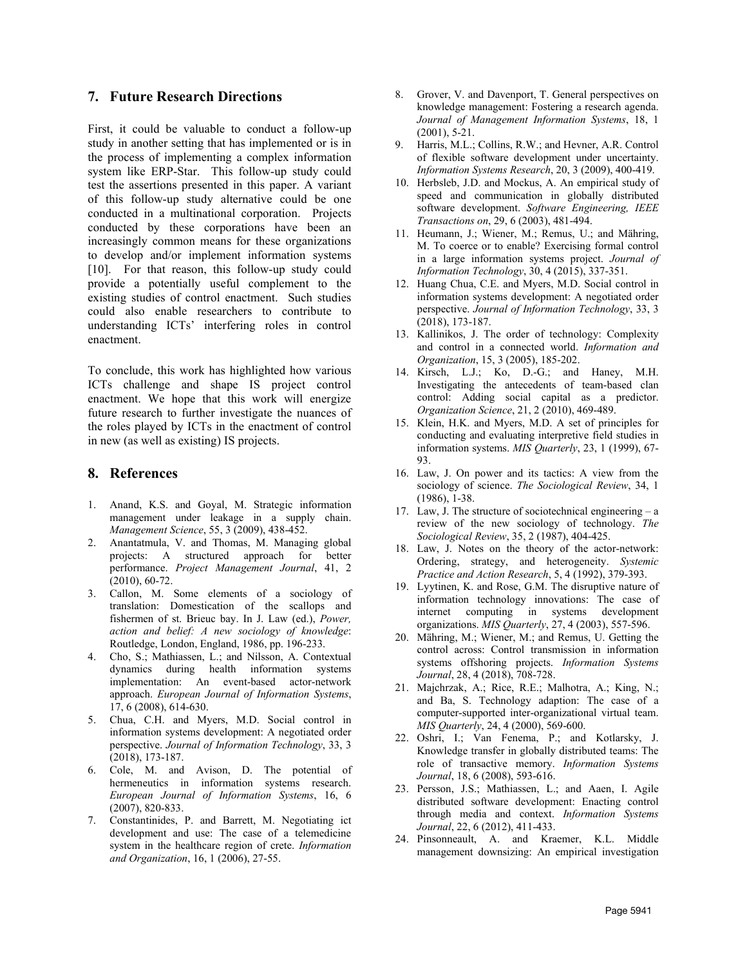#### **7. Future Research Directions**

First, it could be valuable to conduct a follow-up study in another setting that has implemented or is in the process of implementing a complex information system like ERP-Star. This follow-up study could test the assertions presented in this paper. A variant of this follow-up study alternative could be one conducted in a multinational corporation. Projects conducted by these corporations have been an increasingly common means for these organizations to develop and/or implement information systems [\[10\]](#page-8-22). For that reason, this follow-up study could provide a potentially useful complement to the existing studies of control enactment. Such studies could also enable researchers to contribute to understanding ICTs' interfering roles in control enactment.

To conclude, this work has highlighted how various ICTs challenge and shape IS project control enactment. We hope that this work will energize future research to further investigate the nuances of the roles played by ICTs in the enactment of control in new (as well as existing) IS projects.

#### **8. References**

- <span id="page-8-19"></span>1. Anand, K.S. and Goyal, M. Strategic information management under leakage in a supply chain. *Management Science*, 55, 3 (2009), 438-452.
- <span id="page-8-2"></span>2. Anantatmula, V. and Thomas, M. Managing global projects: A structured approach for better performance. *Project Management Journal*, 41, 2 (2010), 60-72.
- <span id="page-8-15"></span>3. Callon, M. Some elements of a sociology of translation: Domestication of the scallops and fishermen of st. Brieuc bay. In J. Law (ed.), *Power, action and belief: A new sociology of knowledge*: Routledge, London, England, 1986, pp. 196-233.
- <span id="page-8-16"></span>4. Cho, S.; Mathiassen, L.; and Nilsson, A. Contextual dynamics during health information systems implementation: An event-based actor-network approach. *European Journal of Information Systems*, 17, 6 (2008), 614-630.
- <span id="page-8-21"></span>5. Chua, C.H. and Myers, M.D. Social control in information systems development: A negotiated order perspective. *Journal of Information Technology*, 33, 3 (2018), 173-187.
- <span id="page-8-13"></span>6. Cole, M. and Avison, D. The potential of hermeneutics in information systems research. *European Journal of Information Systems*, 16, 6 (2007), 820-833.
- <span id="page-8-9"></span>7. Constantinides, P. and Barrett, M. Negotiating ict development and use: The case of a telemedicine system in the healthcare region of crete. *Information and Organization*, 16, 1 (2006), 27-55.
- <span id="page-8-20"></span>8. Grover, V. and Davenport, T. General perspectives on knowledge management: Fostering a research agenda. *Journal of Management Information Systems*, 18, 1 (2001), 5-21.
- <span id="page-8-18"></span>9. Harris, M.L.; Collins, R.W.; and Hevner, A.R. Control of flexible software development under uncertainty. *Information Systems Research*, 20, 3 (2009), 400-419.
- <span id="page-8-22"></span>10. Herbsleb, J.D. and Mockus, A. An empirical study of speed and communication in globally distributed software development. *Software Engineering, IEEE Transactions on*, 29, 6 (2003), 481-494.
- <span id="page-8-0"></span>11. Heumann, J.; Wiener, M.; Remus, U.; and Mähring, M. To coerce or to enable? Exercising formal control in a large information systems project. *Journal of Information Technology*, 30, 4 (2015), 337-351.
- <span id="page-8-3"></span>12. Huang Chua, C.E. and Myers, M.D. Social control in information systems development: A negotiated order perspective. *Journal of Information Technology*, 33, 3 (2018), 173-187.
- <span id="page-8-8"></span>13. Kallinikos, J. The order of technology: Complexity and control in a connected world. *Information and Organization*, 15, 3 (2005), 185-202.
- <span id="page-8-1"></span>14. Kirsch, L.J.; Ko, D.-G.; and Haney, M.H. Investigating the antecedents of team-based clan control: Adding social capital as a predictor. *Organization Science*, 21, 2 (2010), 469-489.
- <span id="page-8-12"></span>15. Klein, H.K. and Myers, M.D. A set of principles for conducting and evaluating interpretive field studies in information systems. *MIS Quarterly*, 23, 1 (1999), 67- 93.
- <span id="page-8-5"></span>16. Law, J. On power and its tactics: A view from the sociology of science. *The Sociological Review*, 34, 1 (1986), 1-38.
- <span id="page-8-6"></span>17. Law, J. The structure of sociotechnical engineering – a review of the new sociology of technology. *The Sociological Review*, 35, 2 (1987), 404-425.
- <span id="page-8-14"></span>18. Law, J. Notes on the theory of the actor-network: Ordering, strategy, and heterogeneity. *Systemic Practice and Action Research*, 5, 4 (1992), 379-393.
- <span id="page-8-10"></span>19. Lyytinen, K. and Rose, G.M. The disruptive nature of information technology innovations: The case of internet computing in systems development organizations. *MIS Quarterly*, 27, 4 (2003), 557-596.
- <span id="page-8-4"></span>20. Mähring, M.; Wiener, M.; and Remus, U. Getting the control across: Control transmission in information systems offshoring projects. *Information Systems Journal*, 28, 4 (2018), 708-728.
- <span id="page-8-7"></span>21. Majchrzak, A.; Rice, R.E.; Malhotra, A.; King, N.; and Ba, S. Technology adaption: The case of a computer-supported inter-organizational virtual team. *MIS Quarterly*, 24, 4 (2000), 569-600.
- <span id="page-8-11"></span>22. Oshri, I.; Van Fenema, P.; and Kotlarsky, J. Knowledge transfer in globally distributed teams: The role of transactive memory. *Information Systems Journal*, 18, 6 (2008), 593-616.
- <span id="page-8-17"></span>23. Persson, J.S.; Mathiassen, L.; and Aaen, I. Agile distributed software development: Enacting control through media and context. *Information Systems Journal*, 22, 6 (2012), 411-433.
- 24. Pinsonneault, A. and Kraemer, K.L. Middle management downsizing: An empirical investigation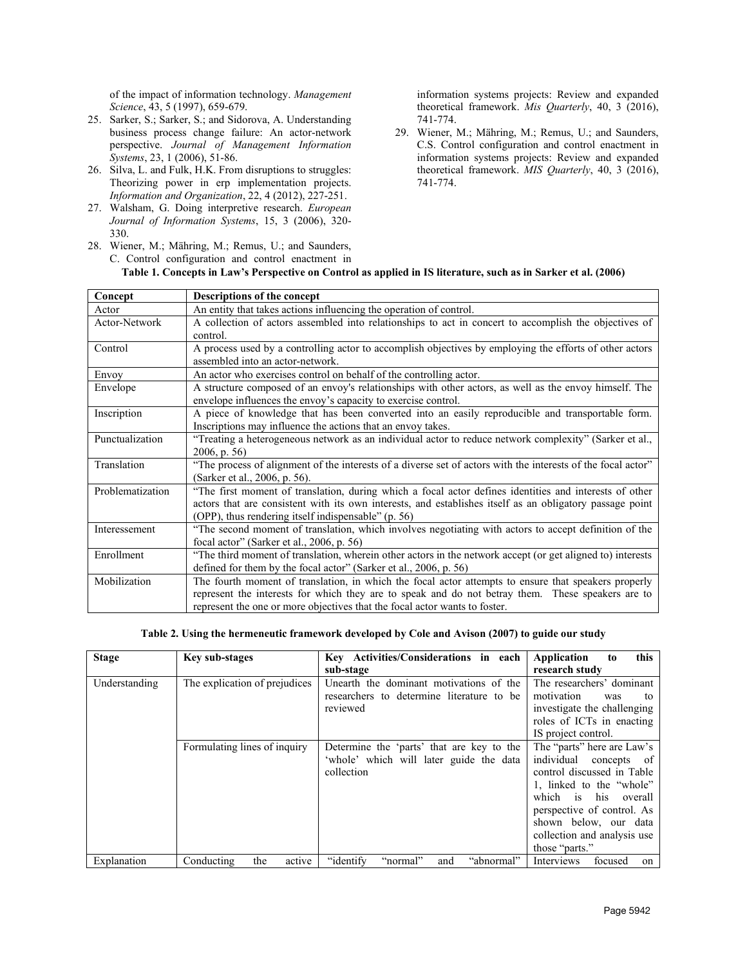of the impact of information technology. *Management Science*, 43, 5 (1997), 659-679.

- <span id="page-9-1"></span>25. Sarker, S.; Sarker, S.; and Sidorova, A. Understanding business process change failure: An actor-network perspective. *Journal of Management Information Systems*, 23, 1 (2006), 51-86.
- <span id="page-9-3"></span>26. Silva, L. and Fulk, H.K. From disruptions to struggles: Theorizing power in erp implementation projects. *Information and Organization*, 22, 4 (2012), 227-251.
- <span id="page-9-2"></span>27. Walsham, G. Doing interpretive research. *European Journal of Information Systems*, 15, 3 (2006), 320- 330.
- <span id="page-9-0"></span>28. Wiener, M.; Mähring, M.; Remus, U.; and Saunders, C. Control configuration and control enactment in

information systems projects: Review and expanded theoretical framework. *Mis Quarterly*, 40, 3 (2016), 741-774.

<span id="page-9-4"></span>29. Wiener, M.; Mähring, M.; Remus, U.; and Saunders, C.S. Control configuration and control enactment in information systems projects: Review and expanded theoretical framework. *MIS Quarterly*, 40, 3 (2016), 741-774.

| Concept          | Descriptions of the concept                                                                                                                                                                                                                                                             |  |  |
|------------------|-----------------------------------------------------------------------------------------------------------------------------------------------------------------------------------------------------------------------------------------------------------------------------------------|--|--|
| Actor            | An entity that takes actions influencing the operation of control.                                                                                                                                                                                                                      |  |  |
| Actor-Network    | A collection of actors assembled into relationships to act in concert to accomplish the objectives of<br>control.                                                                                                                                                                       |  |  |
| Control          | A process used by a controlling actor to accomplish objectives by employing the efforts of other actors<br>assembled into an actor-network.                                                                                                                                             |  |  |
| Envoy            | An actor who exercises control on behalf of the controlling actor.                                                                                                                                                                                                                      |  |  |
| Envelope         | A structure composed of an envoy's relationships with other actors, as well as the envoy himself. The<br>envelope influences the envoy's capacity to exercise control.                                                                                                                  |  |  |
| Inscription      | A piece of knowledge that has been converted into an easily reproducible and transportable form.<br>Inscriptions may influence the actions that an envoy takes.                                                                                                                         |  |  |
| Punctualization  | "Treating a heterogeneous network as an individual actor to reduce network complexity" (Sarker et al.,<br>$2006$ , p. 56)                                                                                                                                                               |  |  |
| Translation      | "The process of alignment of the interests of a diverse set of actors with the interests of the focal actor"<br>(Sarker et al., 2006, p. 56).                                                                                                                                           |  |  |
| Problematization | "The first moment of translation, during which a focal actor defines identities and interests of other<br>actors that are consistent with its own interests, and establishes itself as an obligatory passage point<br>(OPP), thus rendering itself indispensable" (p. 56)               |  |  |
| Interessement    | "The second moment of translation, which involves negotiating with actors to accept definition of the<br>focal actor" (Sarker et al., 2006, p. 56)                                                                                                                                      |  |  |
| Enrollment       | "The third moment of translation, wherein other actors in the network accept (or get aligned to) interests<br>defined for them by the focal actor" (Sarker et al., 2006, p. 56)                                                                                                         |  |  |
| Mobilization     | The fourth moment of translation, in which the focal actor attempts to ensure that speakers properly<br>represent the interests for which they are to speak and do not betray them. These speakers are to<br>represent the one or more objectives that the focal actor wants to foster. |  |  |

#### **Table 1. Concepts in Law's Perspective on Control as applied in IS literature, such as in Sarker et al. (2006)**

**Table 2. Using the hermeneutic framework developed by Cole and Avison (2007) to guide our study**

| <b>Stage</b>  | Key sub-stages                | Key Activities/Considerations in each       | this<br>Application<br>to   |
|---------------|-------------------------------|---------------------------------------------|-----------------------------|
|               |                               | sub-stage                                   | research study              |
| Understanding | The explication of prejudices | Unearth the dominant motivations of the     | The researchers' dominant   |
|               |                               | researchers to determine literature to be   | motivation<br>was<br>to     |
|               |                               | reviewed                                    | investigate the challenging |
|               |                               |                                             | roles of ICTs in enacting   |
|               |                               |                                             | IS project control.         |
|               | Formulating lines of inquiry  | Determine the 'parts' that are key to the   | The "parts" here are Law's  |
|               |                               | 'whole' which will later guide the data     | individual concepts of      |
|               |                               | collection                                  | control discussed in Table  |
|               |                               |                                             | 1, linked to the "whole"    |
|               |                               |                                             | which is his<br>overall     |
|               |                               |                                             | perspective of control. As  |
|               |                               |                                             | shown below, our data       |
|               |                               |                                             | collection and analysis use |
|               |                               |                                             | those "parts."              |
| Explanation   | Conducting<br>the<br>active   | "identify"<br>"abnormal"<br>"normal"<br>and | focused<br>Interviews<br>on |